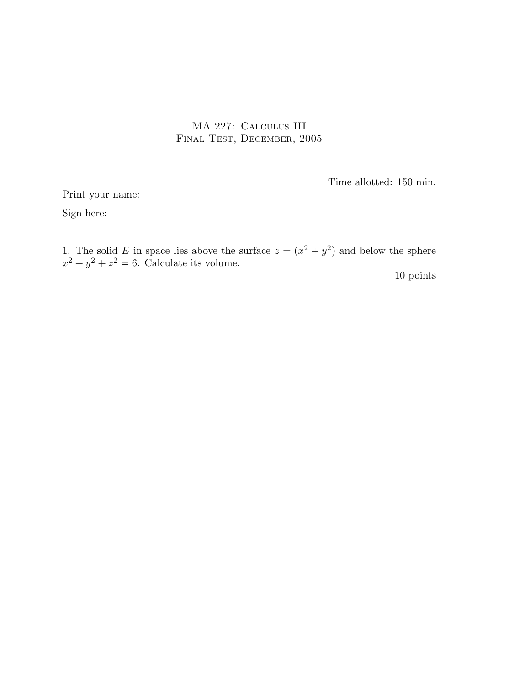## MA 227: Calculus III Final Test, December, 2005

Time allotted: 150 min.

Print your name: Sign here:

1. The solid E in space lies above the surface  $z = (x^2 + y^2)$  and below the sphere  $x^2 + y^2 + z^2 = 6$ . Calculate its volume. 10 points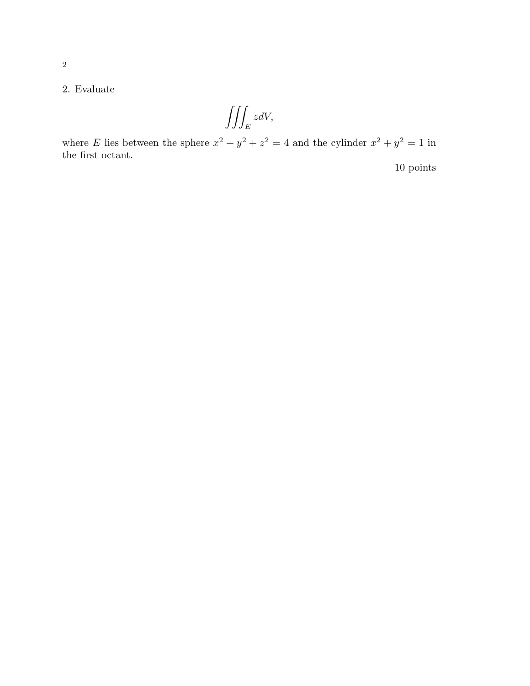$$
\iiint_E zdV,
$$

where E lies between the sphere  $x^2 + y^2 + z^2 = 4$  and the cylinder  $x^2 + y^2 = 1$  in the first octant.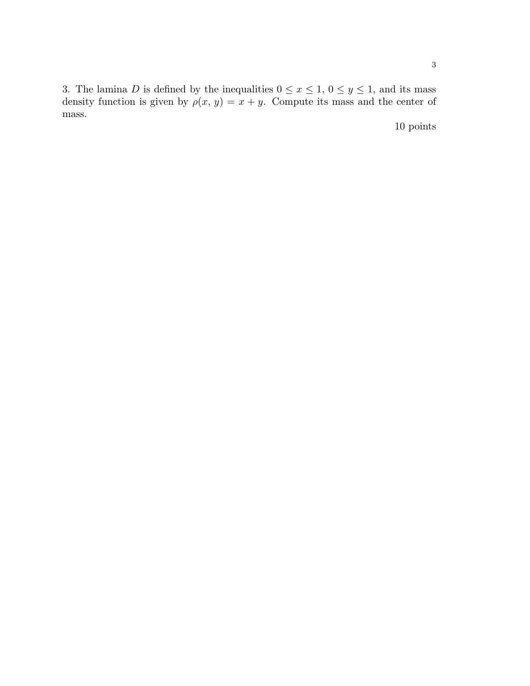3. The lamina D is defined by the inequalities  $0 \le x \le 1$ ,  $0 \le y \le 1$ , and its mass density function is given by  $\rho(x, y) = x + y$ . Compute its mass and the center of mass.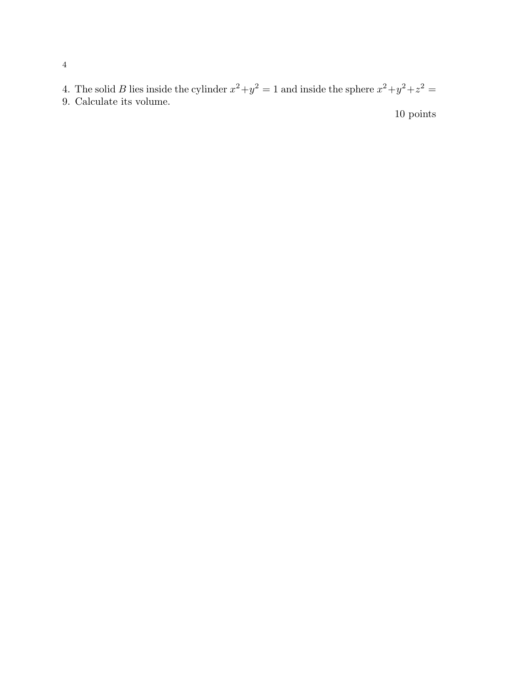4. The solid B lies inside the cylinder  $x^2 + y^2 = 1$  and inside the sphere  $x^2 + y^2 + z^2 = 1$ 9. Calculate its volume.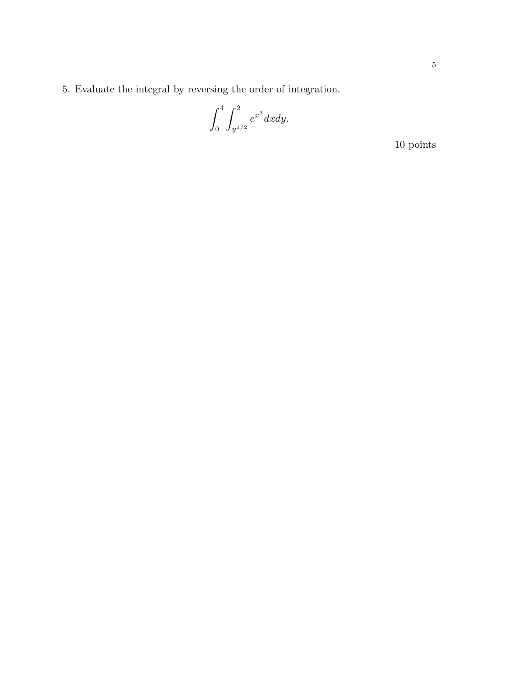5. Evaluate the integral by reversing the order of integration.

$$
\int_0^4 \int_{y^{1/2}}^2 e^{x^3} dx dy.
$$

 $10\ \mathrm{points}$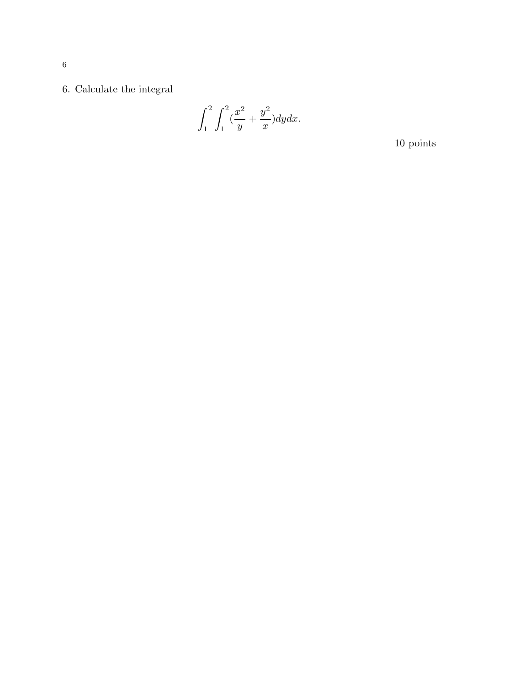$6.$  Calculate the integral  $\,$ 

$$
\int_1^2 \int_1^2 \left(\frac{x^2}{y} + \frac{y^2}{x}\right) dy dx.
$$

 $10\ \mathrm{points}$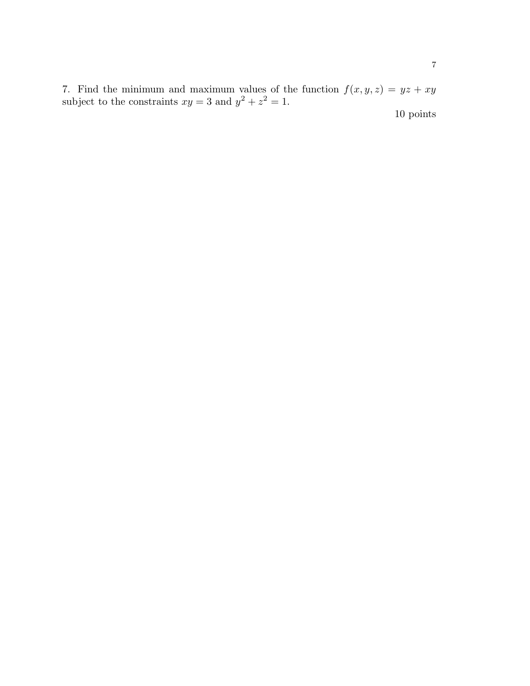7. Find the minimum and maximum values of the function  $f(x, y, z) = yz + xy$ subject to the constraints  $xy = 3$  and  $y^2 + z^2 = 1$ .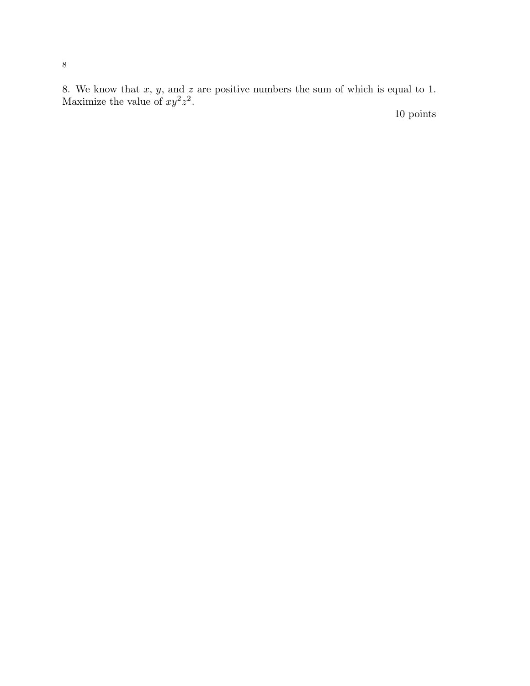8. We know that  $x, y$ , and  $z$  are positive numbers the sum of which is equal to 1. Maximize the value of  $xy^2z^2$ .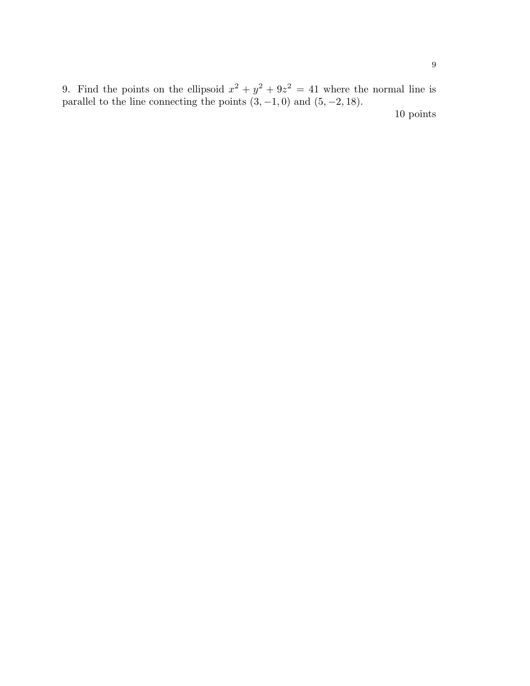9. Find the points on the ellipsoid  $x^2 + y^2 + 9z^2 = 41$  where the normal line is parallel to the line connecting the points  $(3, -1, 0)$  and  $(5, -2, 18)$ .